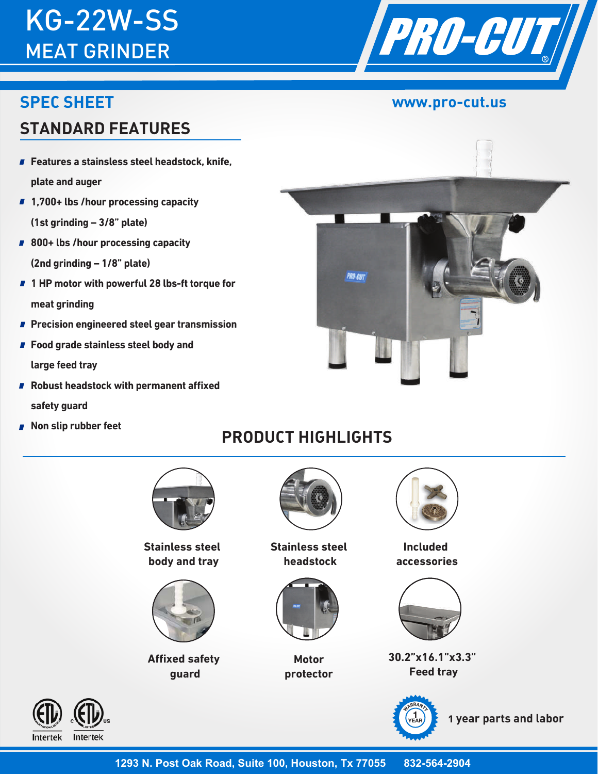# KG-22W-SS MEAT GRINDER

### **SPEC SHEET**

## **STANDARD FEATURES**

- Features a stainsless steel headstock, knife, **plate and auger**
- **1,700+ lbs /hour processing capacity (1st grinding – 3/8" plate)**
- **800+ lbs /hour processing capacity (2nd grinding – 1/8" plate)**
- **1 HP motor with powerful 28 lbs-ft torque for meat grinding**
- **Precision engineered steel gear transmission**
- **Food grade stainless steel body and large feed tray**
- **Robust headstock with permanent affixed safety guard**
- **Non slip rubber feet**

Intertek

Intertek

## **PRODUCT HIGHLIGHTS**



**Stainless steel body and tray**



**Affixed safety guard**



**Stainless steel headstock** 



**Motor protector** 



**Included Included accessories accessories**



**30.2"x16.1"x3.3" Feed tray**



 **1 year parts and labor <sup>1</sup>**



**www.pro-cut.us**

PRO-GUT